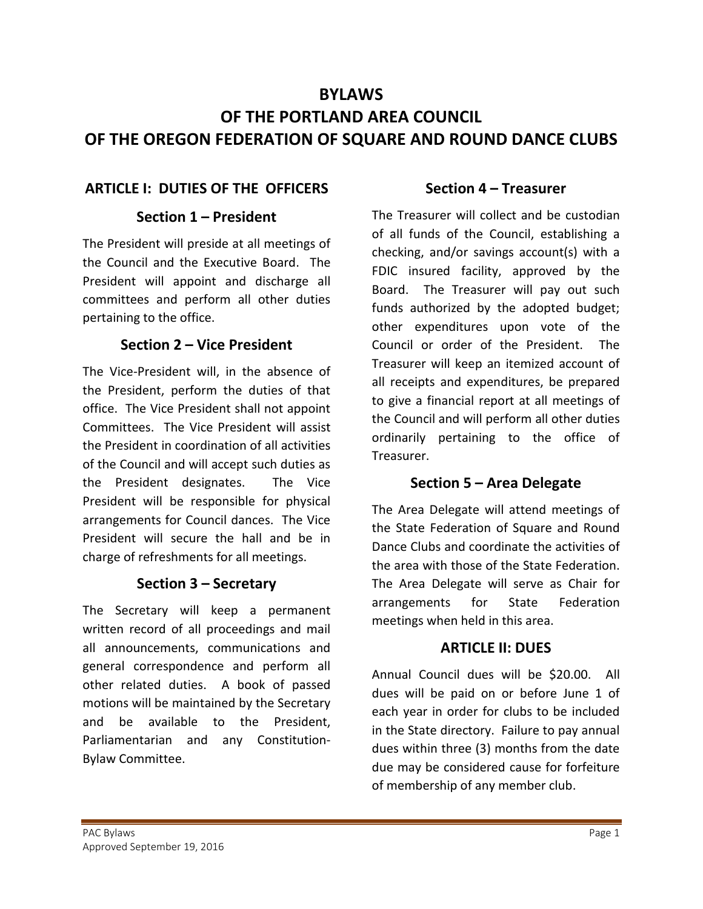# **BYLAWS OF THE PORTLAND AREA COUNCIL OF THE OREGON FEDERATION OF SQUARE AND ROUND DANCE CLUBS**

#### **ARTICLE I: DUTIES OF THE OFFICERS**

#### **Section 1 – President**

The President will preside at all meetings of the Council and the Executive Board. The President will appoint and discharge all committees and perform all other duties pertaining to the office.

#### **Section 2 – Vice President**

The Vice-President will, in the absence of the President, perform the duties of that office. The Vice President shall not appoint Committees. The Vice President will assist the President in coordination of all activities of the Council and will accept such duties as the President designates. The Vice President will be responsible for physical arrangements for Council dances. The Vice President will secure the hall and be in charge of refreshments for all meetings.

#### **Section 3 – Secretary**

The Secretary will keep a permanent written record of all proceedings and mail all announcements, communications and general correspondence and perform all other related duties. A book of passed motions will be maintained by the Secretary and be available to the President, Parliamentarian and any Constitution-Bylaw Committee.

#### **Section 4 – Treasurer**

The Treasurer will collect and be custodian of all funds of the Council, establishing a checking, and/or savings account(s) with a FDIC insured facility, approved by the Board. The Treasurer will pay out such funds authorized by the adopted budget; other expenditures upon vote of the Council or order of the President. The Treasurer will keep an itemized account of all receipts and expenditures, be prepared to give a financial report at all meetings of the Council and will perform all other duties ordinarily pertaining to the office of Treasurer.

## **Section 5 – Area Delegate**

The Area Delegate will attend meetings of the State Federation of Square and Round Dance Clubs and coordinate the activities of the area with those of the State Federation. The Area Delegate will serve as Chair for arrangements for State Federation meetings when held in this area.

#### **ARTICLE II: DUES**

Annual Council dues will be \$20.00. All dues will be paid on or before June 1 of each year in order for clubs to be included in the State directory. Failure to pay annual dues within three (3) months from the date due may be considered cause for forfeiture of membership of any member club.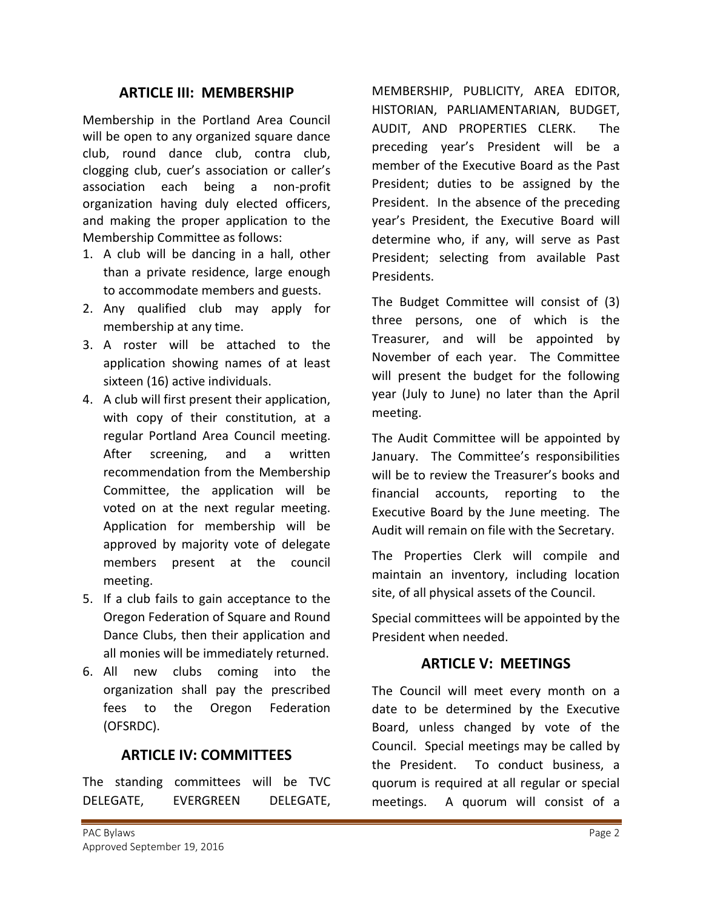#### **ARTICLE III: MEMBERSHIP**

Membership in the Portland Area Council will be open to any organized square dance club, round dance club, contra club, clogging club, cuer's association or caller's association each being a non-profit organization having duly elected officers, and making the proper application to the Membership Committee as follows:

- 1. A club will be dancing in a hall, other than a private residence, large enough to accommodate members and guests.
- 2. Any qualified club may apply for membership at any time.
- 3. A roster will be attached to the application showing names of at least sixteen (16) active individuals.
- 4. A club will first present their application, with copy of their constitution, at a regular Portland Area Council meeting. After screening, and a written recommendation from the Membership Committee, the application will be voted on at the next regular meeting. Application for membership will be approved by majority vote of delegate members present at the council meeting.
- 5. If a club fails to gain acceptance to the Oregon Federation of Square and Round Dance Clubs, then their application and all monies will be immediately returned.
- 6. All new clubs coming into the organization shall pay the prescribed fees to the Oregon Federation (OFSRDC).

#### **ARTICLE IV: COMMITTEES**

The standing committees will be TVC DELEGATE, EVERGREEN DELEGATE, MEMBERSHIP, PUBLICITY, AREA EDITOR, HISTORIAN, PARLIAMENTARIAN, BUDGET, AUDIT, AND PROPERTIES CLERK.The preceding year's President will be a member of the Executive Board as the Past President; duties to be assigned by the President. In the absence of the preceding year's President, the Executive Board will determine who, if any, will serve as Past President; selecting from available Past Presidents.

The Budget Committee will consist of (3) three persons, one of which is the Treasurer, and will be appointed by November of each year. The Committee will present the budget for the following year (July to June) no later than the April meeting.

The Audit Committee will be appointed by January. The Committee's responsibilities will be to review the Treasurer's books and financial accounts, reporting to the Executive Board by the June meeting. The Audit will remain on file with the Secretary.

The Properties Clerk will compile and maintain an inventory, including location site, of all physical assets of the Council.

Special committees will be appointed by the President when needed.

#### **ARTICLE V: MEETINGS**

The Council will meet every month on a date to be determined by the Executive Board, unless changed by vote of the Council. Special meetings may be called by the President. To conduct business, a quorum is required at all regular or special meetings. A quorum will consist of a